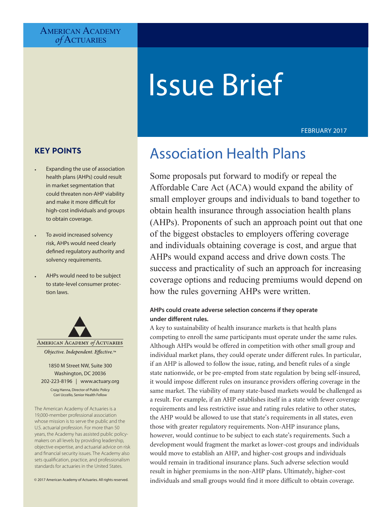# AMERICAN ACADEMY *of* Actuaries

# Issue Brief

### FEBRUARY 2017

# **KEY POINTS**

- Expanding the use of association health plans (AHPs) could result in market segmentation that could threaten non-AHP viability and make it more difficult for high-cost individuals and groups to obtain coverage.
- To avoid increased solvency risk, AHPs would need clearly defined regulatory authority and solvency requirements.
- AHPs would need to be subject to state-level consumer protection laws.



#### 1850 M Street NW, Suite 300 Washington, DC 20036 202-223-8196 | [www.actuary.org](http://www.actuary.org) Craig Hanna, Director of Public Policy Cori Uccello, Senior Health Fellow

The American Academy of Actuaries is a 19,000-member professional association whose mission is to serve the public and the U.S. actuarial profession. For more than 50 years, the Academy has assisted public policymakers on all levels by providing leadership, objective expertise, and actuarial advice on risk and financial security issues. The Academy also sets qualification, practice, and professionalism standards for actuaries in the United States.

© 2017 American Academy of Actuaries. All rights reserved.

# Association Health Plans

Some proposals put forward to modify or repeal the Affordable Care Act (ACA) would expand the ability of small employer groups and individuals to band together to obtain health insurance through association health plans (AHPs). Proponents of such an approach point out that one of the biggest obstacles to employers offering coverage and individuals obtaining coverage is cost, and argue that AHPs would expand access and drive down costs. The success and practicality of such an approach for increasing coverage options and reducing premiums would depend on how the rules governing AHPs were written.

### **AHPs could create adverse selection concerns if they operate under different rules.**

A key to sustainability of health insurance markets is that health plans competing to enroll the same participants must operate under the same rules. Although AHPs would be offered in competition with other small group and individual market plans, they could operate under different rules. In particular, if an AHP is allowed to follow the issue, rating, and benefit rules of a single state nationwide, or be pre-empted from state regulation by being self-insured, it would impose different rules on insurance providers offering coverage in the same market. The viability of many state-based markets would be challenged as a result. For example, if an AHP establishes itself in a state with fewer coverage requirements and less restrictive issue and rating rules relative to other states, the AHP would be allowed to use that state's requirements in all states, even those with greater regulatory requirements. Non-AHP insurance plans, however, would continue to be subject to each state's requirements. Such a development would fragment the market as lower-cost groups and individuals would move to establish an AHP, and higher-cost groups and individuals would remain in traditional insurance plans. Such adverse selection would result in higher premiums in the non-AHP plans. Ultimately, higher-cost individuals and small groups would find it more difficult to obtain coverage.